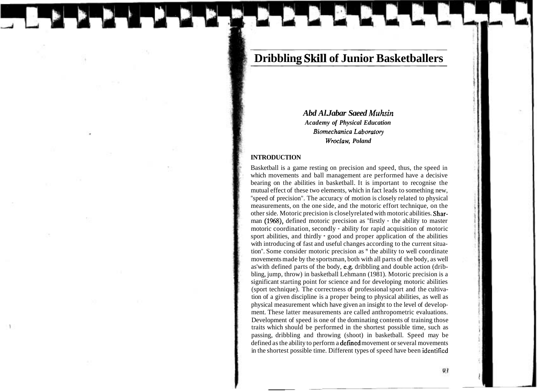# **Dribbling Skill of Junior Basketballers**

*Abd Al. Jabar Saeed Muhsin Academy of Physical Education*  **Biomechanica Laboratory** *Wroclaw, Poland* 

#### **INTRODUCTION**

Basketball is a game resting on precision and speed, thus, the speed in which movements and ball management are performed have a decisive bearing on the abilities in basketball. It is important to recognise the mutual effect of these two elements, which in fact leads to something new, "speed of precision". The accuracy of motion is closely related to physical measurements, on the one side, and the motoric effort technique, on the other side. Motoric precision is closelyrelated with motoric abilities. Sharman (1968), defined motoric precision as "firstly - the ability to master motoric coordination, secondly - ability for rapid acquisition of motoric sport abilities, and thirdly - good and proper application of the abilities with introducing of fast and useful changes according to the current situation". Some consider motoric precision as " the ability to well coordinate movements made by the sportsman, both with all parts of the body, as well as'with defined parts of the body, e.g. dribbling and double action (dribbling, jump, throw) in basketball Lehmann (1981). Motoric precision is a significant starting point for science and for developing motoric abilities (sport technique). The correctness of professional sport and the cultivation of a given discipline is a proper being to physical abilities, as well as physical measurement which have given an insight to the level of development. These latter measurements are called anthropometric evaluations. Development of speed is one of the dominating contents of training those traits which should be performed in the shortest possible time, such as passing, dribbling and throwing (shoot) in basketball. Speed may be defined as the ability to perform a **defined** movement or several movements in the shortest possible time. Different types of speed have been identificd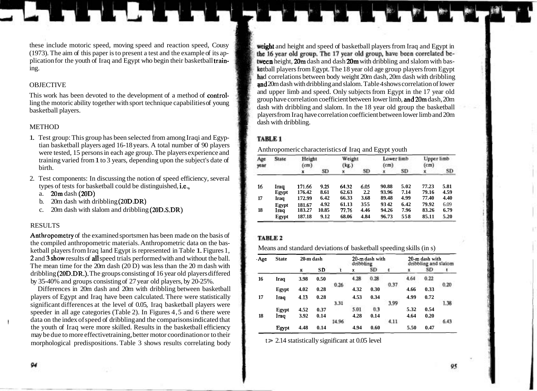these include motoric speed, moving speed and reaction speed, Cousy<br>(1973). The aim of this paper is to present a test and the example of its applement of the 16 year old group. The 17 year old group, have been correlated (1973). The aim of this paper is to present a test and the example of its application for the vouth of Iraq and Egypt who begin their basketball train-

This work has been devoted to the development of a method of **control-** and upper limb and speed. Only subjects from Egypt in the 17 year old group have correlation coefficient between lower limb, and 20m dash, 20m ling the motoric ability together with sport technique capabilities of young basketball players.<br>basketball players.

- 1. Test group: This group has been selected from among Iraqi and Egyptian basketball players aged 16-18 years. A total number of 90 players were tested, 15 persons in each age group. The players experience and Anthropomeric characteristics of Iraq and Egypt youth training varied from 1 to 3 years, depending upon the subject's date of birth.
- 2. Test components: In discussing the notion of speed efficiency, several types of tests for basketball could be distinguished, i.e.,
	- a. 20m dash (20D)
	- b. 20m dash with dribbling (20D.DR)
	- c. 20m dash with slalom and dribbling (20D.S.DR)

### **RESULTS**

Anthropometry of the examined sportsmen has been made on the basis of the compiled anthropometric materials. Anthropometric data on the basketball players from Iraq land Egypt is represented in Table 1. Figures 1, Means and standard deviations of basketball speeding skills (in s) 2 and 3 show results of all speed trials performed with and without the ball. The mean time for the 20m dash (20 D) was less than the 20 m dash with dribbling (20D.DR.). The groups consisting of 16 year old players differed by 35-40% and groups consisting of 27 year old players, by 20-25%.

Differences in 20m dash and 20m with dribbling between basketball players of Egypt and Iraq have been calculated. There were statistically significant differences at the level of 0.05, Iraq basketball players were speeder in all age categories (Table 2). In Figures 4,5 and 6 there were data on the index of speed of dribbling and the comparisons indicated that the youth of Iraq were more skilled. Results in the basketball efficiency may be due to more effective training, better motor coordination or to their morphological predispositions. Table 3 shows results correlating body  $t > 2.14$  statistically significant at 0.05 level

plication for the youth of Iraq and Egypt who begin their basketball **train-** tween height, 20m dash and dash 20m with dribbling and slalom with bas-<br>
the 18 year old age group players from Egypt had correlations between body weight 20m dash, 20m dash with dribbling OBJECTIVE **and** 20m dash with dribbling and slalom. Table 4 shows correlation of lower players from Iraq have correlation coefficient between lower limb and 20m METHOD dash with dribbling.

### TABLE 1

| Age<br>year | State | Height<br>(cm) |       | Weight<br>(kg.) |      | Lower limb<br>(c <sub>m</sub> ) |      | Upper limb<br>(c <sub>m</sub> ) |      |
|-------------|-------|----------------|-------|-----------------|------|---------------------------------|------|---------------------------------|------|
|             |       |                | SD    |                 | SD   |                                 | SD   |                                 | SD.  |
| 16          | Iraq  | 171.66         | 9.25  | 64.32           | 6.05 | 90.88                           | 5.02 | 77.23                           | 5.81 |
|             | Egypt | 176.42         | 8.61  | 62.63           | 2.2  | 93.96                           | 7.14 | 79.16                           | 4.59 |
| 17          | Iraq  | 172.99         | 6.42  | 66.33           | 3.68 | 89.48                           | 4.99 | 77.40                           | 4.40 |
|             | Egypt | 181.67         | 4.92  | 61.13           | 355  | 9342                            | 6.42 | 79.92                           | 6.09 |
| 18          | Iraq  | 183.27         | 10.85 | 77.76           | 4.46 | 94.26                           | 7.96 | 83.26                           | 6.79 |
|             | Egypt | 187.18         | 9.12  | 68.06           | 4.84 | 96.73                           | 558  | 85.11                           | 5.20 |

### TABLE 2

| . Age | <b>State</b> | 20-m dash |      |       | 20-m dash with<br>dribbling |      |       | 20-m dash with<br>dribbling and slatom |      |      |
|-------|--------------|-----------|------|-------|-----------------------------|------|-------|----------------------------------------|------|------|
|       |              | x         | SĐ   |       | x                           | sn   | r     | 固                                      | SD   | ŧ    |
| 16    | Iraq         | 3.98      | 0.50 |       | 4.28                        | 0.28 |       | 4.64                                   | 0.22 |      |
|       | Egypt        | 4.02      | 0.28 | 0.26  | 4.32                        | 0.30 | 0.37  | 4.66                                   | 0.33 | 0.20 |
| 17    | Iraq         | 4.13      | 0.28 |       | 4.53                        | 0.34 |       | 4.99                                   | 0.72 |      |
|       |              |           |      | 3.31  |                             |      | 3.99  |                                        |      | 1.38 |
|       | Egypt        | 4.52      | 0.37 |       | 5.01                        | 0.3  |       | 5.32                                   | 0.54 |      |
| 18    | Iraq         | 3.92      | 0.14 |       | 4.28                        | 0.14 |       | 4.64                                   | 0.20 |      |
|       |              |           |      | 14.96 |                             |      | 4.11. |                                        |      | 6.43 |
|       | Egypt        | 4.48      | 0.14 |       | 4.94                        | 0.60 |       | 5.50                                   | 0.47 |      |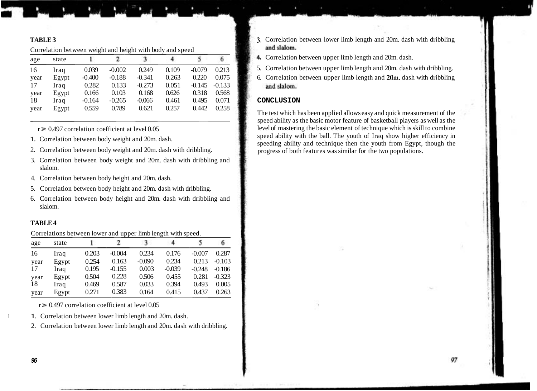Correlation between weight and height with body and speed

| age  | state |          | 2        | 3        |       |          | 6.       |
|------|-------|----------|----------|----------|-------|----------|----------|
| 16   | Iraq  | 0.039    | $-0.002$ | 0.249    | 0.109 | $-0.079$ | 0.213    |
| year | Egypt | $-0.400$ | $-0.188$ | $-0.341$ | 0.263 | 0.220    | 0.075    |
| 17   | Iraq  | 0.282    | 0.133    | $-0.273$ | 0.051 | $-0.145$ | $-0.133$ |
| year | Egypt | 0.166    | 0.103    | 0.168    | 0.626 | 0.318    | 0.568    |
| 18   | Iraq  | $-0.164$ | $-0.265$ | $-0.066$ | 0.461 | 0.495    | 0.071    |
| year | Egypt | 0.559    | 0.789    | 0.621    | 0.257 | 0.442    | 0.258    |

- 
- 
- 3. Correlation between body weight and 20m. dash with dribbling and slalom.
- 4. Correlation between body height and 20m. dash.
- 5. Correlation between body height and 20m. dash with dribbling.
- 6. Correlation between body height and 20m. dash with dribbling and slalom.

### **TABLE 4**

Correlations between lower and upper limb length with speed.

| age  | state | ı.    | 2        | ा        | 4.       | 5.       | 6        |
|------|-------|-------|----------|----------|----------|----------|----------|
| 16   | Iraq  | 0.203 | $-0.004$ | 0.234    | 0.176    | $-0.007$ | 0.287    |
| year | Egypt | 0.254 | 0.163    | $-0.090$ | 0.234    | 0.213    | $-0.103$ |
| 17   | Iraq  | 0.195 | $-0.155$ | 0.003    | $-0.039$ | $-0.248$ | $-0.186$ |
| year | Egypt | 0.504 | 0.228    | 0.506    | 0.455    | 0.281    | $-0.323$ |
| 18   | Iraq  | 0.469 | 0.587    | 0.033    | 0.394    | 0.493    | 0.005    |
| year | Egypt | 0.271 | 0.383    | 0.164    | 0.415    | 0.437    | 0.263    |

 $r > 0.497$  correlation coefficient at level 0.05

1. Correlation between lower limb length and 20m. dash.

2. Correlation between lower limb length and 20m. dash with dribbling.

- **TABLE 3** 3. Correlation between lower limb length and 20m. dash with dribbling and slalom.
	- 4 Correlation between upper limb length and 20m. dash.
	- 5. Correlation between upper limb length and 20m. dash with dribbling.
	- 6. Correlation between upper limb length and  $20m$ . dash with dribbling and slalom.

### $CONCLUSION$

The test which has been applied allows easy and quick measurement of the speed ability as the basic motor feature of basketball players as well as the  $r = 0.497$  correlation coefficient at level 0.05 level of mastering the basic element of technique which is skill to combine<br>speed ability with the ball. The youth of Iraq show higher efficiency in Speed ability with the ball. The youth of Iraq show higher efficiency in 1. Correlation between body weight and 20m. dash with dribbling.<br>2. Correlation between body weight and 20m. dash with dribbling.<br>2. Correlation betw progress of both features was similar for the two populations.